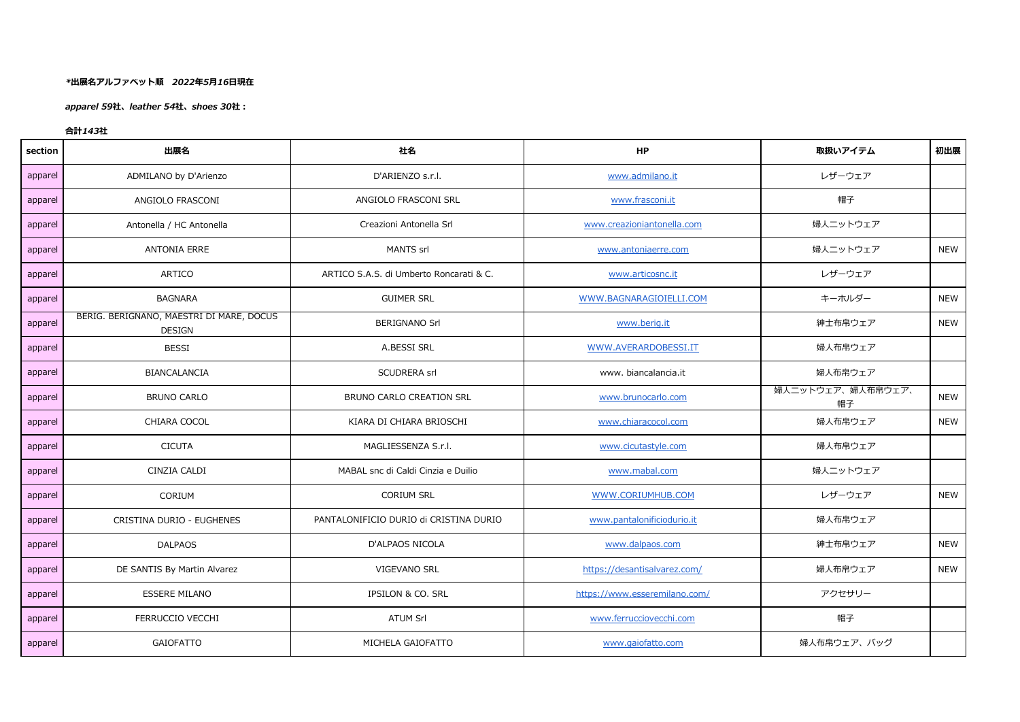## *\*出展名アルファベット順 2022年5月16日現在*

*apparel 59社、leather 54社、shoes 30社:*

## *合計143社*

| section | 出展名                                                       | 社名                                      | <b>HP</b>                     | 取扱いアイテム                 | 初出展        |
|---------|-----------------------------------------------------------|-----------------------------------------|-------------------------------|-------------------------|------------|
| apparel | ADMILANO by D'Arienzo                                     | D'ARIENZO s.r.l.                        | www.admilano.it               | レザーウェア                  |            |
| apparel | ANGIOLO FRASCONI                                          | ANGIOLO FRASCONI SRL                    | www.frasconi.it               | 帽子                      |            |
| apparel | Antonella / HC Antonella                                  | Creazioni Antonella Srl                 | www.creazioniantonella.com    | 婦人ニットウェア                |            |
| apparel | <b>ANTONIA ERRE</b>                                       | MANTS srl                               | www.antoniaerre.com           | 婦人ニットウェア                | <b>NEW</b> |
| apparel | ARTICO                                                    | ARTICO S.A.S. di Umberto Roncarati & C. | www.articosnc.it              | レザーウェア                  |            |
| apparel | <b>BAGNARA</b>                                            | <b>GUIMER SRL</b>                       | WWW.BAGNARAGIOIELLI.COM       | キーホルダー                  | <b>NEW</b> |
| apparel | BERIG. BERIGNANO, MAESTRI DI MARE, DOCUS<br><b>DESIGN</b> | <b>BERIGNANO Srl</b>                    | www.berig.it                  | 紳士布帛ウェア                 | <b>NEW</b> |
| apparel | <b>BESSI</b>                                              | A.BESSI SRL                             | WWW.AVERARDOBESSI.IT          | 婦人布帛ウェア                 |            |
| apparel | BIANCALANCIA                                              | SCUDRERA srl                            | www. biancalancia.it          | 婦人布帛ウェア                 |            |
| apparel | <b>BRUNO CARLO</b>                                        | BRUNO CARLO CREATION SRL                | www.brunocarlo.com            | 婦人ニットウェア、婦人布帛ウェア、<br>帽子 | <b>NEW</b> |
| apparel | CHIARA COCOL                                              | KIARA DI CHIARA BRIOSCHI                | www.chiaracocol.com           | 婦人布帛ウェア                 | <b>NEW</b> |
| apparel | <b>CICUTA</b>                                             | MAGLIESSENZA S.r.l.                     | www.cicutastyle.com           | 婦人布帛ウェア                 |            |
| apparel | CINZIA CALDI                                              | MABAL snc di Caldi Cinzia e Duilio      | www.mabal.com                 | 婦人ニットウェア                |            |
| apparel | CORIUM                                                    | <b>CORIUM SRL</b>                       | WWW.CORIUMHUB.COM             | レザーウェア                  | <b>NEW</b> |
| apparel | CRISTINA DURIO - EUGHENES                                 | PANTALONIFICIO DURIO di CRISTINA DURIO  | www.pantalonificiodurio.it    | 婦人布帛ウェア                 |            |
| apparel | <b>DALPAOS</b>                                            | <b>D'ALPAOS NICOLA</b>                  | www.dalpaos.com               | 紳士布帛ウェア                 | <b>NEW</b> |
| apparel | DE SANTIS By Martin Alvarez                               | VIGEVANO SRL                            | https://desantisalvarez.com/  | 婦人布帛ウェア                 | <b>NEW</b> |
| apparel | <b>ESSERE MILANO</b>                                      | IPSILON & CO. SRL                       | https://www.esseremilano.com/ | アクセサリー                  |            |
| apparel | FERRUCCIO VECCHI                                          | <b>ATUM Srl</b>                         | www.ferrucciovecchi.com       | 帽子                      |            |
| apparel | <b>GAIOFATTO</b>                                          | MICHELA GAIOFATTO                       | www.gaiofatto.com             | 婦人布帛ウェア、バッグ             |            |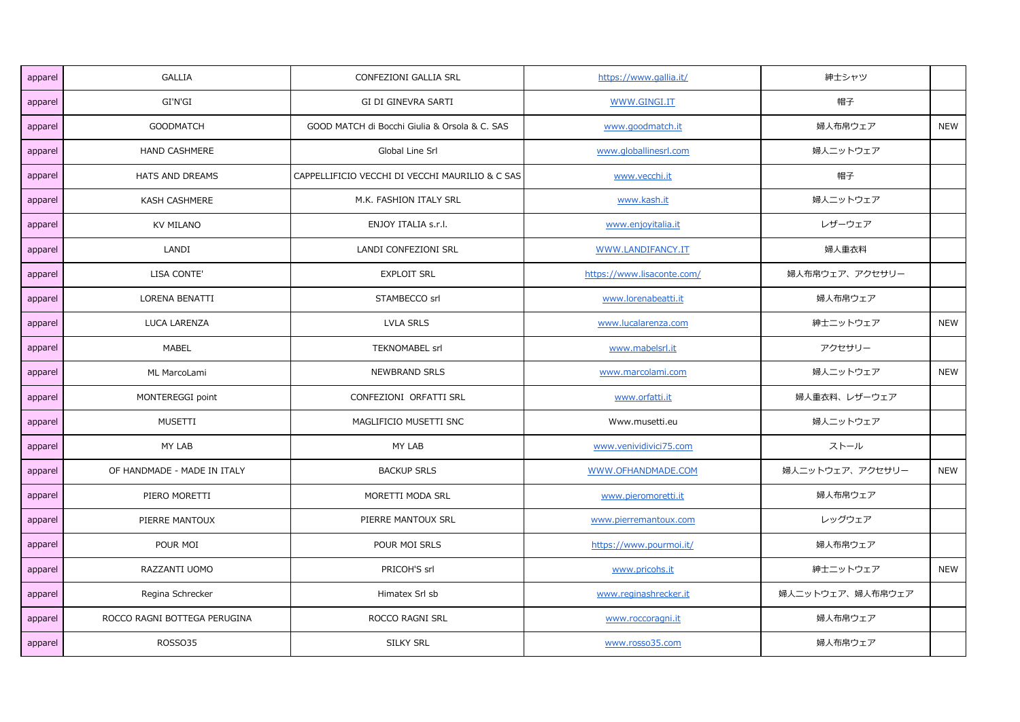| apparel | <b>GALLIA</b>                | CONFEZIONI GALLIA SRL                           | https://www.gallia.it/     | 紳士シャツ            |            |
|---------|------------------------------|-------------------------------------------------|----------------------------|------------------|------------|
| apparel | GI'N'GI                      | GI DI GINEVRA SARTI                             | WWW.GINGI.IT               | 帽子               |            |
| apparel | <b>GOODMATCH</b>             | GOOD MATCH di Bocchi Giulia & Orsola & C. SAS   | www.goodmatch.it           | 婦人布帛ウェア          | <b>NEW</b> |
| apparel | HAND CASHMERE                | Global Line Srl                                 | www.globallinesrl.com      | 婦人ニットウェア         |            |
| apparel | HATS AND DREAMS              | CAPPELLIFICIO VECCHI DI VECCHI MAURILIO & C SAS | www.vecchi.it              | 帽子               |            |
| apparel | <b>KASH CASHMERE</b>         | M.K. FASHION ITALY SRL                          | www.kash.it                | 婦人ニットウェア         |            |
| apparel | KV MILANO                    | ENJOY ITALIA s.r.l.                             | www.enjoyitalia.it         | レザーウェア           |            |
| apparel | LANDI                        | LANDI CONFEZIONI SRL                            | WWW.LANDIFANCY.IT          | 婦人重衣料            |            |
| apparel | LISA CONTE'                  | <b>EXPLOIT SRL</b>                              | https://www.lisaconte.com/ | 婦人布帛ウェア、アクセサリー   |            |
| apparel | LORENA BENATTI               | STAMBECCO srl                                   | www.lorenabeatti.it        | 婦人布帛ウェア          |            |
| apparel | LUCA LARENZA                 | <b>LVLA SRLS</b>                                | www.lucalarenza.com        | 紳士ニットウェア         | <b>NEW</b> |
| apparel | <b>MABEL</b>                 | TEKNOMABEL srl                                  | www.mabelsrl.it            | アクセサリー           |            |
| apparel | ML MarcoLami                 | NEWBRAND SRLS                                   | www.marcolami.com          | 婦人ニットウェア         | <b>NEW</b> |
| apparel | MONTEREGGI point             | CONFEZIONI ORFATTI SRL                          | www.orfatti.it             | 婦人重衣料、レザーウェア     |            |
| apparel | MUSETTI                      | MAGLIFICIO MUSETTI SNC                          | Www.musetti.eu             | 婦人ニットウェア         |            |
| apparel | MY LAB                       | MY LAB                                          | www.venividivici75.com     | ストール             |            |
| apparel | OF HANDMADE - MADE IN ITALY  | <b>BACKUP SRLS</b>                              | WWW.OFHANDMADE.COM         | 婦人ニットウェア、アクセサリー  | <b>NEW</b> |
| apparel | PIERO MORETTI                | MORETTI MODA SRL                                | www.pieromoretti.it        | 婦人布帛ウェア          |            |
| apparel | PIERRE MANTOUX               | PIERRE MANTOUX SRL                              | www.pierremantoux.com      | レッグウェア           |            |
| apparel | POUR MOI                     | POUR MOI SRLS                                   | https://www.pourmoi.it/    | 婦人布帛ウェア          |            |
| apparel | RAZZANTI UOMO                | PRICOH'S srl                                    | www.pricohs.it             | 紳士ニットウェア         | <b>NEW</b> |
| apparel | Regina Schrecker             | Himatex Srl sb                                  | www.reginashrecker.it      | 婦人ニットウェア、婦人布帛ウェア |            |
| apparel | ROCCO RAGNI BOTTEGA PERUGINA | ROCCO RAGNI SRL                                 | www.roccoragni.it          | 婦人布帛ウェア          |            |
| apparel | ROSSO35                      | SILKY SRL                                       | www.rosso35.com            | 婦人布帛ウェア          |            |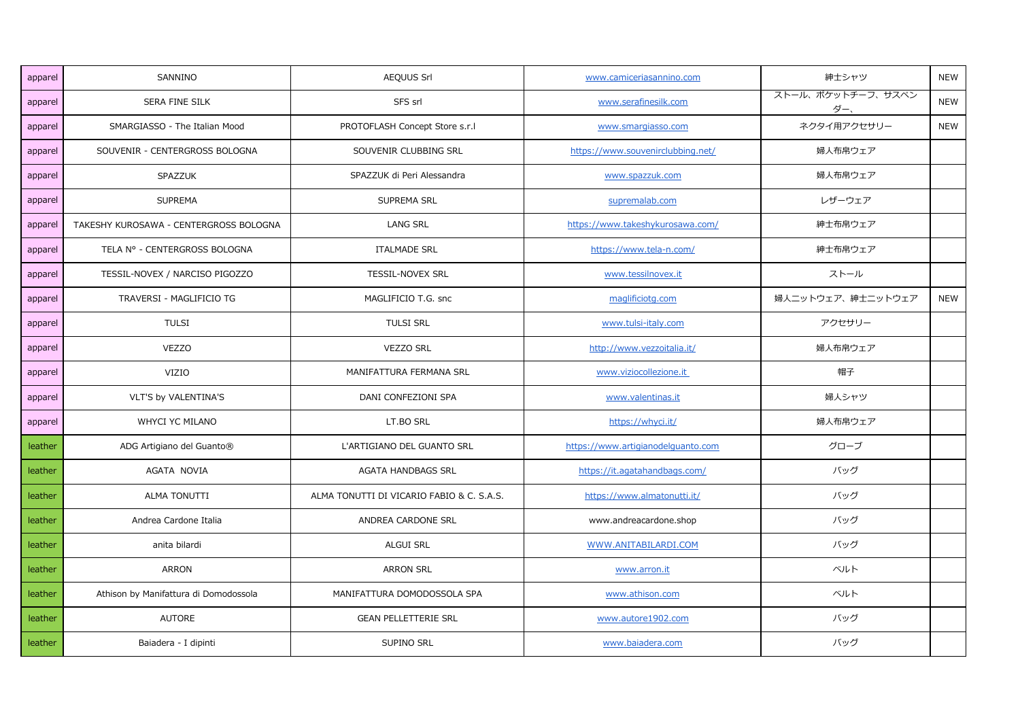| apparel | SANNINO                                | AEQUUS Srl                                | www.camiceriasannino.com           | 紳士シャツ                    | <b>NEW</b> |
|---------|----------------------------------------|-------------------------------------------|------------------------------------|--------------------------|------------|
| apparel | SERA FINE SILK                         | SFS srl                                   | www.serafinesilk.com               | ストール、ポケットチーフ、サスペン<br>ダー、 | <b>NEW</b> |
| apparel | SMARGIASSO - The Italian Mood          | PROTOFLASH Concept Store s.r.l            | www.smargiasso.com                 | ネクタイ用アクセサリー              | <b>NEW</b> |
| apparel | SOUVENIR - CENTERGROSS BOLOGNA         | SOUVENIR CLUBBING SRL                     | https://www.souvenirclubbing.net/  | 婦人布帛ウェア                  |            |
| apparel | SPAZZUK                                | SPAZZUK di Peri Alessandra                | www.spazzuk.com                    | 婦人布帛ウェア                  |            |
| apparel | <b>SUPREMA</b>                         | SUPREMA SRL                               | supremalab.com                     | レザーウェア                   |            |
| apparel | TAKESHY KUROSAWA - CENTERGROSS BOLOGNA | <b>LANG SRL</b>                           | https://www.takeshykurosawa.com/   | 紳士布帛ウェア                  |            |
| apparel | TELA Nº - CENTERGROSS BOLOGNA          | <b>ITALMADE SRL</b>                       | https://www.tela-n.com/            | 紳士布帛ウェア                  |            |
| apparel | TESSIL-NOVEX / NARCISO PIGOZZO         | TESSIL-NOVEX SRL                          | www.tessilnovex.it                 | ストール                     |            |
| apparel | TRAVERSI - MAGLIFICIO TG               | MAGLIFICIO T.G. snc                       | maglificiotg.com                   | 婦人ニットウェア、紳士ニットウェア        | <b>NEW</b> |
| apparel | <b>TULSI</b>                           | <b>TULSI SRL</b>                          | www.tulsi-italy.com                | アクセサリー                   |            |
| apparel | <b>VEZZO</b>                           | <b>VEZZO SRL</b>                          | http://www.vezzoitalia.it/         | 婦人布帛ウェア                  |            |
| apparel | VIZIO                                  | MANIFATTURA FERMANA SRL                   | www.viziocollezione.it             | 帽子                       |            |
| apparel | VLT'S by VALENTINA'S                   | DANI CONFEZIONI SPA                       | www.valentinas.it                  | 婦人シャツ                    |            |
| apparel | WHYCI YC MILANO                        | LT.BO SRL                                 | https://whyci.it/                  | 婦人布帛ウェア                  |            |
| leather | ADG Artigiano del Guanto®              | L'ARTIGIANO DEL GUANTO SRL                | https://www.artigianodelguanto.com | グローブ                     |            |
| leather | AGATA NOVIA                            | <b>AGATA HANDBAGS SRL</b>                 | https://it.agatahandbags.com/      | バッグ                      |            |
| leather | <b>ALMA TONUTTI</b>                    | ALMA TONUTTI DI VICARIO FABIO & C. S.A.S. | https://www.almatonutti.it/        | バッグ                      |            |
| leather | Andrea Cardone Italia                  | ANDREA CARDONE SRL                        | www.andreacardone.shop             | バッグ                      |            |
| leather | anita bilardi                          | ALGUI SRL                                 | WWW.ANITABILARDI.COM               | バッグ                      |            |
| leather | ARRON                                  | <b>ARRON SRL</b>                          | www.arron.it                       | ベルト                      |            |
| leather | Athison by Manifattura di Domodossola  | MANIFATTURA DOMODOSSOLA SPA               | www.athison.com                    | ベルト                      |            |
| leather | <b>AUTORE</b>                          | <b>GEAN PELLETTERIE SRL</b>               | www.autore1902.com                 | バッグ                      |            |
| leather | Baiadera - I dipinti                   | SUPINO SRL                                | www.baiadera.com                   | バッグ                      |            |
|         |                                        |                                           |                                    |                          |            |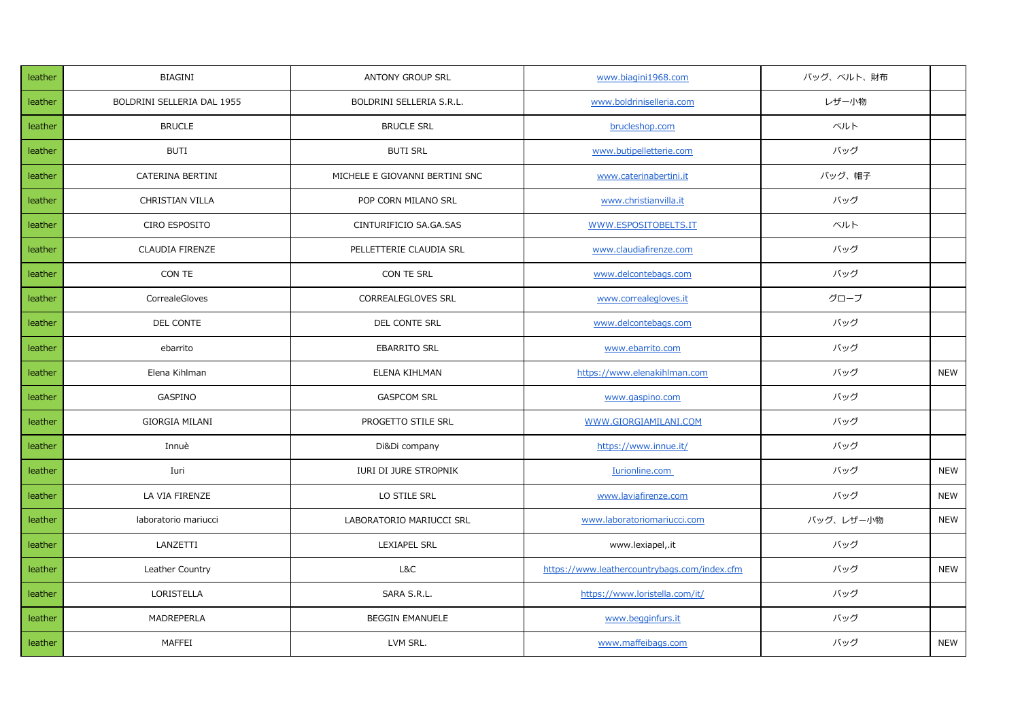| leather | <b>BIAGINI</b>             | <b>ANTONY GROUP SRL</b>        | www.biagini1968.com                          | バッグ、ベルト、財布 |            |
|---------|----------------------------|--------------------------------|----------------------------------------------|------------|------------|
| leather | BOLDRINI SELLERIA DAL 1955 | BOLDRINI SELLERIA S.R.L.       | www.boldriniselleria.com                     | レザー小物      |            |
| leather | <b>BRUCLE</b>              | <b>BRUCLE SRL</b>              | brucleshop.com                               | ベルト        |            |
| leather | <b>BUTI</b>                | <b>BUTI SRL</b>                | www.butipelletterie.com                      | バッグ        |            |
| leather | CATERINA BERTINI           | MICHELE E GIOVANNI BERTINI SNC | www.caterinabertini.it                       | バッグ、帽子     |            |
| leather | CHRISTIAN VILLA            | POP CORN MILANO SRL            | www.christianvilla.it                        | バッグ        |            |
| leather | CIRO ESPOSITO              | CINTURIFICIO SA.GA.SAS         | WWW.ESPOSITOBELTS.IT                         | ベルト        |            |
| leather | <b>CLAUDIA FIRENZE</b>     | PELLETTERIE CLAUDIA SRL        | www.claudiafirenze.com                       | バッグ        |            |
| leather | CON TE                     | CON TE SRL                     | www.delcontebags.com                         | バッグ        |            |
| leather | CorrealeGloves             | <b>CORREALEGLOVES SRL</b>      | www.correalegloves.it                        | グローブ       |            |
| leather | DEL CONTE                  | DEL CONTE SRL                  | www.delcontebags.com                         | バッグ        |            |
| leather | ebarrito                   | <b>EBARRITO SRL</b>            | www.ebarrito.com                             | バッグ        |            |
| leather | Elena Kihlman              | ELENA KIHLMAN                  | https://www.elenakihlman.com                 | バッグ        | <b>NEW</b> |
| leather | GASPINO                    | <b>GASPCOM SRL</b>             | www.gaspino.com                              | バッグ        |            |
| leather | <b>GIORGIA MILANI</b>      | PROGETTO STILE SRL             | WWW.GIORGIAMILANI.COM                        | バッグ        |            |
| leather | Innuè                      | Di&Di company                  | https://www.innue.it/                        | バッグ        |            |
| leather | Iuri                       | IURI DI JURE STROPNIK          | Iurionline.com                               | バッグ        | <b>NEW</b> |
| leather | LA VIA FIRENZE             | LO STILE SRL                   | www.laviafirenze.com                         | バッグ        | <b>NEW</b> |
| leather | laboratorio mariucci       | LABORATORIO MARIUCCI SRL       | www.laboratoriomariucci.com                  | バッグ、レザー小物  | <b>NEW</b> |
| leather | LANZETTI                   | <b>LEXIAPEL SRL</b>            | www.lexiapel,.it                             | バッグ        |            |
| leather | Leather Country            | L&C                            | https://www.leathercountrybags.com/index.cfm | バッグ        | <b>NEW</b> |
| leather | LORISTELLA                 | SARA S.R.L.                    | https://www.loristella.com/it/               | バッグ        |            |
| leather | MADREPERLA                 | <b>BEGGIN EMANUELE</b>         | www.begginfurs.it                            | バッグ        |            |
| leather | MAFFEI                     | LVM SRL.                       | www.maffeibags.com                           | バッグ        | <b>NEW</b> |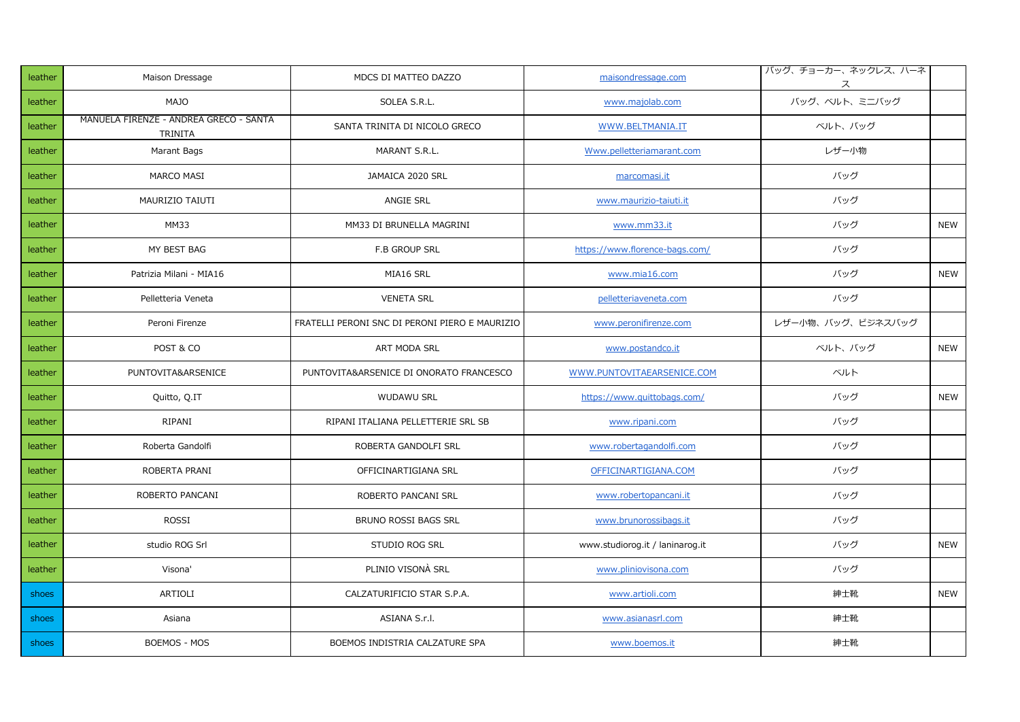| leather | Maison Dressage                                   | MDCS DI MATTEO DAZZO                           | maisondressage.com              | バッグ、チョーカー、ネックレス、ハーネ<br>ス |            |
|---------|---------------------------------------------------|------------------------------------------------|---------------------------------|--------------------------|------------|
| leather | <b>MAJO</b>                                       | SOLEA S.R.L.                                   | www.majolab.com                 | バッグ、ベルト、ミニバッグ            |            |
| leather | MANUELA FIRENZE - ANDREA GRECO - SANTA<br>TRINITA | SANTA TRINITA DI NICOLO GRECO                  | WWW.BELTMANIA.IT                | ベルト、バッグ                  |            |
| leather | Marant Bags                                       | MARANT S.R.L.                                  | Www.pelletteriamarant.com       | レザー小物                    |            |
| leather | MARCO MASI                                        | JAMAICA 2020 SRL                               | marcomasi.it                    | バッグ                      |            |
| leather | MAURIZIO TAIUTI                                   | ANGIE SRL                                      | www.maurizio-taiuti.it          | バッグ                      |            |
| leather | <b>MM33</b>                                       | MM33 DI BRUNELLA MAGRINI                       | www.mm33.it                     | バッグ                      | <b>NEW</b> |
| leather | MY BEST BAG                                       | <b>F.B GROUP SRL</b>                           | https://www.florence-bags.com/  | バッグ                      |            |
| leather | Patrizia Milani - MIA16                           | MIA16 SRL                                      | www.mia16.com                   | バッグ                      | <b>NEW</b> |
| leather | Pelletteria Veneta                                | <b>VENETA SRL</b>                              | pelletteriaveneta.com           | バッグ                      |            |
| leather | Peroni Firenze                                    | FRATELLI PERONI SNC DI PERONI PIERO E MAURIZIO | www.peronifirenze.com           | レザー小物、バッグ、ビジネスバッグ        |            |
| leather | POST & CO                                         | ART MODA SRL                                   | www.postandco.it                | ベルト、バッグ                  | NEW        |
| leather | PUNTOVITA&ARSENICE                                | PUNTOVITA&ARSENICE DI ONORATO FRANCESCO        | WWW.PUNTOVITAEARSENICE.COM      | ベルト                      |            |
| leather | Quitto, Q.IT                                      | <b>WUDAWU SRL</b>                              | https://www.quittobags.com/     | バッグ                      | <b>NEW</b> |
| leather | RIPANI                                            | RIPANI ITALIANA PELLETTERIE SRL SB             | www.ripani.com                  | バッグ                      |            |
| leather | Roberta Gandolfi                                  | ROBERTA GANDOLFI SRL                           | www.robertagandolfi.com         | バッグ                      |            |
| leather | ROBERTA PRANI                                     | OFFICINARTIGIANA SRL                           | OFFICINARTIGIANA.COM            | バッグ                      |            |
| leather | ROBERTO PANCANI                                   | ROBERTO PANCANI SRL                            | www.robertopancani.it           | バッグ                      |            |
| leather | ROSSI                                             | BRUNO ROSSI BAGS SRL                           | www.brunorossibags.it           | バッグ                      |            |
| leather | studio ROG Srl                                    | STUDIO ROG SRL                                 | www.studiorog.it / laninarog.it | バッグ                      | <b>NEW</b> |
| leather | Visona'                                           | PLINIO VISONÀ SRL                              | www.pliniovisona.com            | バッグ                      |            |
| shoes   | ARTIOLI                                           | CALZATURIFICIO STAR S.P.A.                     | www.artioli.com                 | 紳士靴                      | <b>NEW</b> |
| shoes   | Asiana                                            | ASIANA S.r.l.                                  | www.asianasrl.com               | 紳士靴                      |            |
| shoes   | BOEMOS - MOS                                      | BOEMOS INDISTRIA CALZATURE SPA                 | www.boemos.it                   | 紳士靴                      |            |
|         |                                                   |                                                |                                 |                          |            |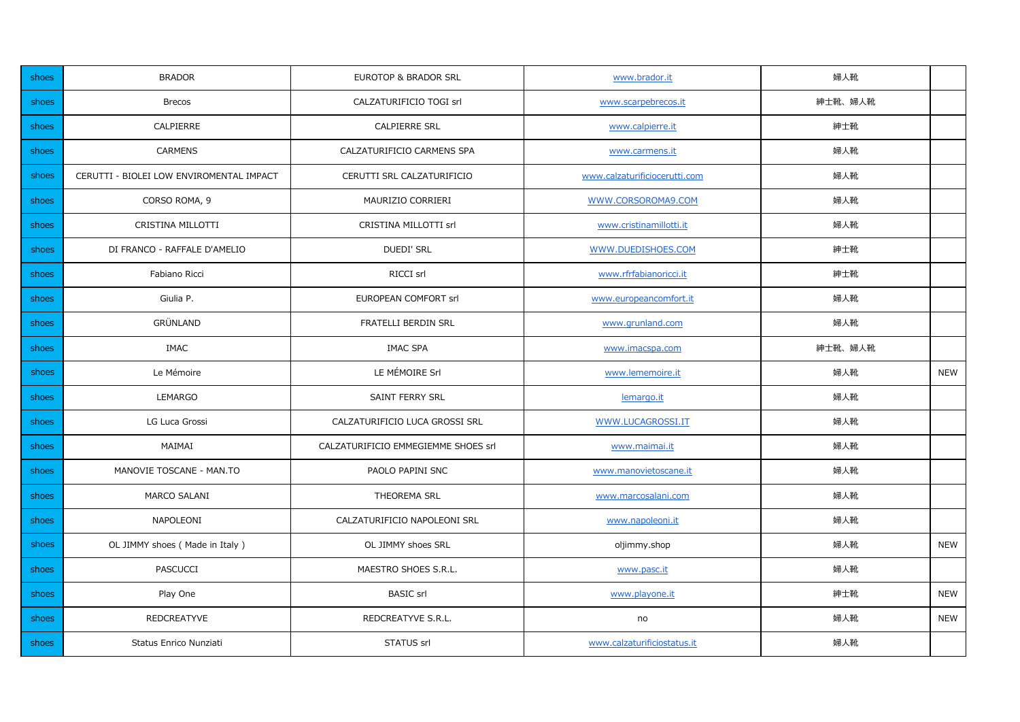| shoes | <b>BRADOR</b>                            | EUROTOP & BRADOR SRL                | www.brador.it                 | 婦人靴     |            |
|-------|------------------------------------------|-------------------------------------|-------------------------------|---------|------------|
| shoes | <b>Brecos</b>                            | CALZATURIFICIO TOGI srl             | www.scarpebrecos.it           | 紳士靴、婦人靴 |            |
| shoes | CALPIERRE                                | <b>CALPIERRE SRL</b>                | www.calpierre.it              | 紳士靴     |            |
| shoes | <b>CARMENS</b>                           | CALZATURIFICIO CARMENS SPA          | www.carmens.it                | 婦人靴     |            |
| shoes | CERUTTI - BIOLEI LOW ENVIROMENTAL IMPACT | CERUTTI SRL CALZATURIFICIO          | www.calzaturificiocerutti.com | 婦人靴     |            |
| shoes | CORSO ROMA, 9                            | MAURIZIO CORRIERI                   | WWW.CORSOROMA9.COM            | 婦人靴     |            |
| shoes | CRISTINA MILLOTTI                        | CRISTINA MILLOTTI srl               | www.cristinamillotti.it       | 婦人靴     |            |
| shoes | DI FRANCO - RAFFALE D'AMELIO             | <b>DUEDI' SRL</b>                   | WWW.DUEDISHOES.COM            | 紳士靴     |            |
| shoes | Fabiano Ricci                            | RICCI srl                           | www.rfrfabianoricci.it        | 紳士靴     |            |
| shoes | Giulia P.                                | EUROPEAN COMFORT srl                | www.europeancomfort.it        | 婦人靴     |            |
| shoes | <b>GRÜNLAND</b>                          | FRATELLI BERDIN SRL                 | www.grunland.com              | 婦人靴     |            |
| shoes | <b>IMAC</b>                              | <b>IMAC SPA</b>                     | www.imacspa.com               | 紳士靴、婦人靴 |            |
| shoes | Le Mémoire                               | LE MÉMOIRE Srl                      | www.lememoire.it              | 婦人靴     | <b>NEW</b> |
| shoes | LEMARGO                                  | SAINT FERRY SRL                     | lemargo.it                    | 婦人靴     |            |
| shoes | LG Luca Grossi                           | CALZATURIFICIO LUCA GROSSI SRL      | WWW.LUCAGROSSI.IT             | 婦人靴     |            |
| shoes | MAIMAI                                   | CALZATURIFICIO EMMEGIEMME SHOES srl | www.maimai.it                 | 婦人靴     |            |
| shoes | MANOVIE TOSCANE - MAN.TO                 | PAOLO PAPINI SNC                    | www.manovietoscane.it         | 婦人靴     |            |
| shoes | MARCO SALANI                             | THEOREMA SRL                        | www.marcosalani.com           | 婦人靴     |            |
| shoes | NAPOLEONI                                | CALZATURIFICIO NAPOLEONI SRL        | www.napoleoni.it              | 婦人靴     |            |
| shoes | OL JIMMY shoes (Made in Italy)           | OL JIMMY shoes SRL                  | oljimmy.shop                  | 婦人靴     | <b>NEW</b> |
| shoes | <b>PASCUCCI</b>                          | MAESTRO SHOES S.R.L.                | www.pasc.it                   | 婦人靴     |            |
| shoes | Play One                                 | <b>BASIC</b> srl                    | www.playone.it                | 紳士靴     | <b>NEW</b> |
| shoes | <b>REDCREATYVE</b>                       | REDCREATYVE S.R.L.                  | no                            | 婦人靴     | <b>NEW</b> |
| shoes | Status Enrico Nunziati                   | STATUS srl                          | www.calzaturificiostatus.it   | 婦人靴     |            |
|       |                                          |                                     |                               |         |            |